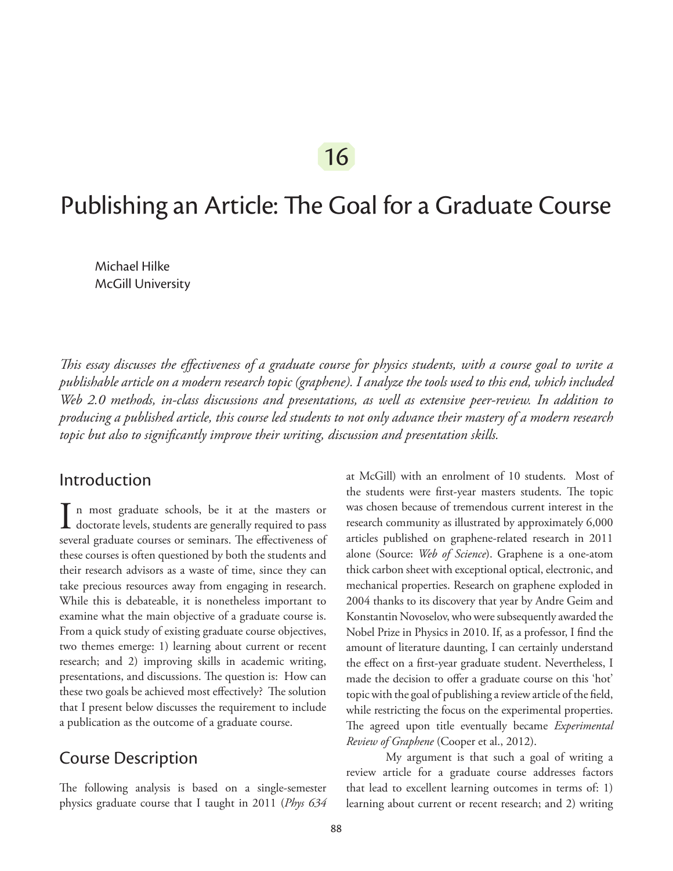# Publishing an Article: The Goal for a Graduate Course

Michael Hilke McGill University

*This essay discusses the effectiveness of a graduate course for physics students, with a course goal to write a publishable article on a modern research topic (graphene). I analyze the tools used to this end, which included Web 2.0 methods, in-class discussions and presentations, as well as extensive peer-review. In addition to producing a published article, this course led students to not only advance their mastery of a modern research topic but also to significantly improve their writing, discussion and presentation skills.*

#### Introduction

 $\prod$  n most graduate schools, be it at the masters or doctorate levels, students are generally required to pass several graduate courses or seminars. The effectiveness of these courses is often questioned by both the students and their research advisors as a waste of time, since they can take precious resources away from engaging in research. While this is debateable, it is nonetheless important to examine what the main objective of a graduate course is. From a quick study of existing graduate course objectives, two themes emerge: 1) learning about current or recent research; and 2) improving skills in academic writing, presentations, and discussions. The question is: How can these two goals be achieved most effectively? The solution that I present below discusses the requirement to include a publication as the outcome of a graduate course.

## Course Description

The following analysis is based on a single-semester physics graduate course that I taught in 2011 (*Phys 634* at McGill) with an enrolment of 10 students. Most of the students were first-year masters students. The topic was chosen because of tremendous current interest in the research community as illustrated by approximately 6,000 articles published on graphene-related research in 2011 alone (Source: *Web of Science*). Graphene is a one-atom thick carbon sheet with exceptional optical, electronic, and mechanical properties. Research on graphene exploded in 2004 thanks to its discovery that year by Andre Geim and Konstantin Novoselov, who were subsequently awarded the Nobel Prize in Physics in 2010. If, as a professor, I find the amount of literature daunting, I can certainly understand the effect on a first-year graduate student. Nevertheless, I made the decision to offer a graduate course on this 'hot' topic with the goal of publishing a review article of the field, while restricting the focus on the experimental properties. The agreed upon title eventually became *Experimental Review of Graphene* (Cooper et al., 2012).

My argument is that such a goal of writing a review article for a graduate course addresses factors that lead to excellent learning outcomes in terms of: 1) learning about current or recent research; and 2) writing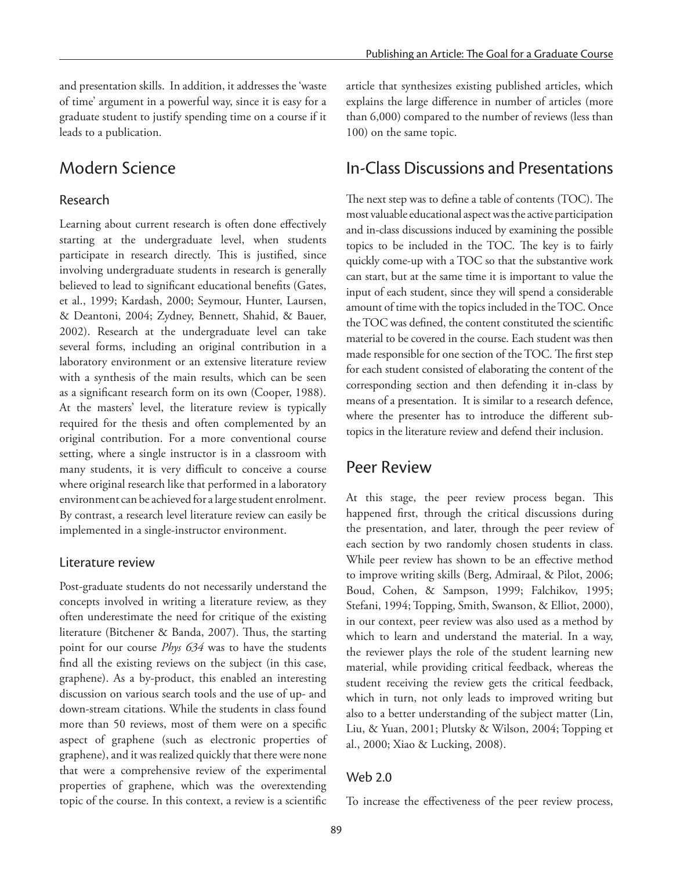and presentation skills. In addition, it addresses the 'waste of time' argument in a powerful way, since it is easy for a graduate student to justify spending time on a course if it leads to a publication.

#### Modern Science

#### Research

Learning about current research is often done effectively starting at the undergraduate level, when students participate in research directly. This is justified, since involving undergraduate students in research is generally believed to lead to significant educational benefits (Gates, et al., 1999; Kardash, 2000; Seymour, Hunter, Laursen, & Deantoni, 2004; Zydney, Bennett, Shahid, & Bauer, 2002). Research at the undergraduate level can take several forms, including an original contribution in a laboratory environment or an extensive literature review with a synthesis of the main results, which can be seen as a significant research form on its own (Cooper, 1988). At the masters' level, the literature review is typically required for the thesis and often complemented by an original contribution. For a more conventional course setting, where a single instructor is in a classroom with many students, it is very difficult to conceive a course where original research like that performed in a laboratory environment can be achieved for a large student enrolment. By contrast, a research level literature review can easily be implemented in a single-instructor environment.

#### Literature review

Post-graduate students do not necessarily understand the concepts involved in writing a literature review, as they often underestimate the need for critique of the existing literature (Bitchener & Banda, 2007). Thus, the starting point for our course *Phys 634* was to have the students find all the existing reviews on the subject (in this case, graphene). As a by-product, this enabled an interesting discussion on various search tools and the use of up- and down-stream citations. While the students in class found more than 50 reviews, most of them were on a specific aspect of graphene (such as electronic properties of graphene), and it was realized quickly that there were none that were a comprehensive review of the experimental properties of graphene, which was the overextending topic of the course. In this context, a review is a scientific

article that synthesizes existing published articles, which explains the large difference in number of articles (more than 6,000) compared to the number of reviews (less than 100) on the same topic.

#### In-Class Discussions and Presentations

The next step was to define a table of contents (TOC). The most valuable educational aspect was the active participation and in-class discussions induced by examining the possible topics to be included in the TOC. The key is to fairly quickly come-up with a TOC so that the substantive work can start, but at the same time it is important to value the input of each student, since they will spend a considerable amount of time with the topics included in the TOC. Once the TOC was defined, the content constituted the scientific material to be covered in the course. Each student was then made responsible for one section of the TOC. The first step for each student consisted of elaborating the content of the corresponding section and then defending it in-class by means of a presentation. It is similar to a research defence, where the presenter has to introduce the different subtopics in the literature review and defend their inclusion.

#### Peer Review

At this stage, the peer review process began. This happened first, through the critical discussions during the presentation, and later, through the peer review of each section by two randomly chosen students in class. While peer review has shown to be an effective method to improve writing skills (Berg, Admiraal, & Pilot, 2006; Boud, Cohen, & Sampson, 1999; Falchikov, 1995; Stefani, 1994; Topping, Smith, Swanson, & Elliot, 2000), in our context, peer review was also used as a method by which to learn and understand the material. In a way, the reviewer plays the role of the student learning new material, while providing critical feedback, whereas the student receiving the review gets the critical feedback, which in turn, not only leads to improved writing but also to a better understanding of the subject matter (Lin, Liu, & Yuan, 2001; Plutsky & Wilson, 2004; Topping et al., 2000; Xiao & Lucking, 2008).

#### Web 2.0

To increase the effectiveness of the peer review process,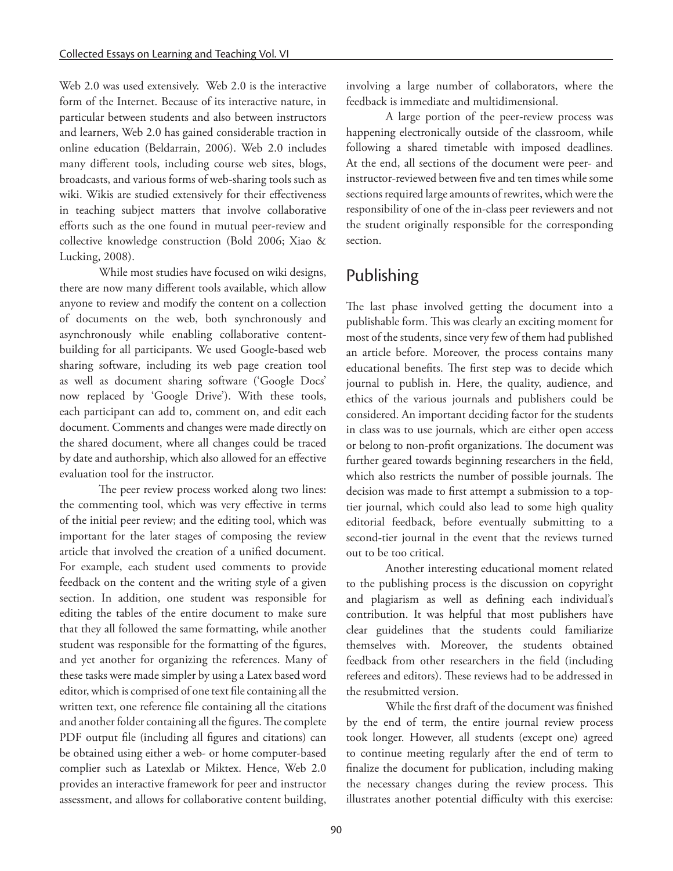Web 2.0 was used extensively. Web 2.0 is the interactive form of the Internet. Because of its interactive nature, in particular between students and also between instructors and learners, Web 2.0 has gained considerable traction in online education (Beldarrain, 2006). Web 2.0 includes many different tools, including course web sites, blogs, broadcasts, and various forms of web-sharing tools such as wiki. Wikis are studied extensively for their effectiveness in teaching subject matters that involve collaborative efforts such as the one found in mutual peer-review and collective knowledge construction (Bold 2006; Xiao & Lucking, 2008).

While most studies have focused on wiki designs, there are now many different tools available, which allow anyone to review and modify the content on a collection of documents on the web, both synchronously and asynchronously while enabling collaborative contentbuilding for all participants. We used Google-based web sharing software, including its web page creation tool as well as document sharing software ('Google Docs' now replaced by 'Google Drive'). With these tools, each participant can add to, comment on, and edit each document. Comments and changes were made directly on the shared document, where all changes could be traced by date and authorship, which also allowed for an effective evaluation tool for the instructor.

The peer review process worked along two lines: the commenting tool, which was very effective in terms of the initial peer review; and the editing tool, which was important for the later stages of composing the review article that involved the creation of a unified document. For example, each student used comments to provide feedback on the content and the writing style of a given section. In addition, one student was responsible for editing the tables of the entire document to make sure that they all followed the same formatting, while another student was responsible for the formatting of the figures, and yet another for organizing the references. Many of these tasks were made simpler by using a Latex based word editor, which is comprised of one text file containing all the written text, one reference file containing all the citations and another folder containing all the figures. The complete PDF output file (including all figures and citations) can be obtained using either a web- or home computer-based complier such as Latexlab or Miktex. Hence, Web 2.0 provides an interactive framework for peer and instructor assessment, and allows for collaborative content building,

involving a large number of collaborators, where the feedback is immediate and multidimensional.

A large portion of the peer-review process was happening electronically outside of the classroom, while following a shared timetable with imposed deadlines. At the end, all sections of the document were peer- and instructor-reviewed between five and ten times while some sections required large amounts of rewrites, which were the responsibility of one of the in-class peer reviewers and not the student originally responsible for the corresponding section.

# Publishing

The last phase involved getting the document into a publishable form. This was clearly an exciting moment for most of the students, since very few of them had published an article before. Moreover, the process contains many educational benefits. The first step was to decide which journal to publish in. Here, the quality, audience, and ethics of the various journals and publishers could be considered. An important deciding factor for the students in class was to use journals, which are either open access or belong to non-profit organizations. The document was further geared towards beginning researchers in the field, which also restricts the number of possible journals. The decision was made to first attempt a submission to a toptier journal, which could also lead to some high quality editorial feedback, before eventually submitting to a second-tier journal in the event that the reviews turned out to be too critical.

Another interesting educational moment related to the publishing process is the discussion on copyright and plagiarism as well as defining each individual's contribution. It was helpful that most publishers have clear guidelines that the students could familiarize themselves with. Moreover, the students obtained feedback from other researchers in the field (including referees and editors). These reviews had to be addressed in the resubmitted version.

While the first draft of the document was finished by the end of term, the entire journal review process took longer. However, all students (except one) agreed to continue meeting regularly after the end of term to finalize the document for publication, including making the necessary changes during the review process. This illustrates another potential difficulty with this exercise: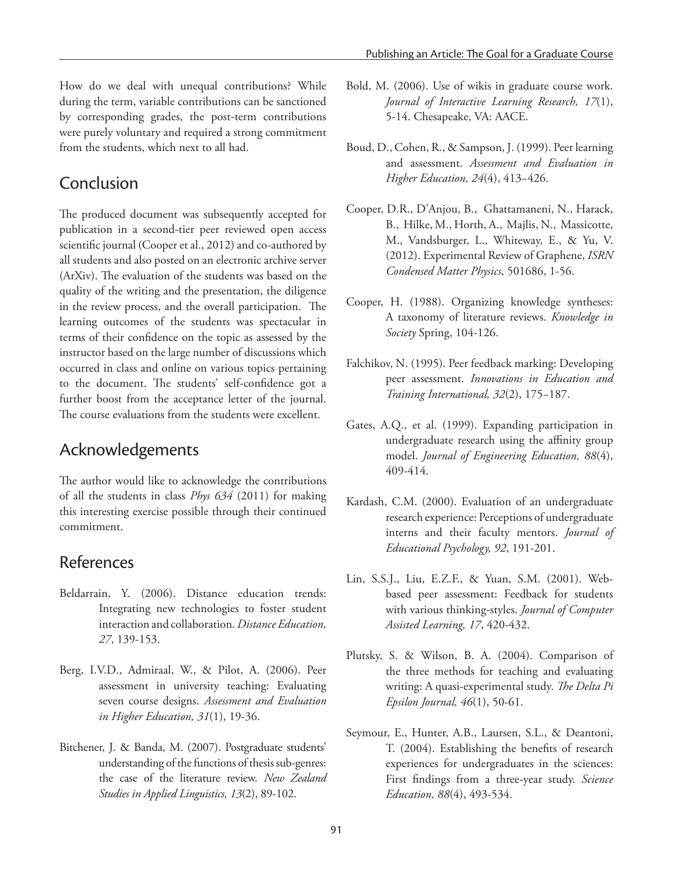How do we deal with unequal contributions? While during the term, variable contributions can be sanctioned by corresponding grades, the post-term contributions were purely voluntary and required a strong commitment from the students, which next to all had.

#### Conclusion

The produced document was subsequently accepted for publication in a second-tier peer reviewed open access scientific journal (Cooper et al., 2012) and co-authored by all students and also posted on an electronic archive server (ArXiv). The evaluation of the students was based on the quality of the writing and the presentation, the diligence in the review process, and the overall participation. The learning outcomes of the students was spectacular in terms of their confidence on the topic as assessed by the instructor based on the large number of discussions which occurred in class and online on various topics pertaining to the document. The students' self-confidence got a further boost from the acceptance letter of the journal. The course evaluations from the students were excellent.

## Acknowledgements

The author would like to acknowledge the contributions of all the students in class *Phys 634* (2011) for making this interesting exercise possible through their continued commitment.

## References

- Beldarrain, Y. (2006). Distance education trends: Integrating new technologies to foster student interaction and collaboration. *Distance Education, 27*, 139-153.
- Berg, I.V.D., Admiraal, W., & Pilot, A. (2006). Peer assessment in university teaching: Evaluating seven course designs. *Assessment and Evaluation in Higher Education, 31*(1), 19-36.
- Bitchener, J. & Banda, M. (2007). Postgraduate students' understanding of the functions of thesis sub-genres: the case of the literature review. *New Zealand Studies in Applied Linguistics, 13*(2), 89-102.
- Bold, M. (2006). Use of wikis in graduate course work. *Journal of Interactive Learning Research, 17*(1), 5-14. Chesapeake, VA: AACE.
- Boud, D., Cohen, R., & Sampson, J. (1999). Peer learning and assessment. *Assessment and Evaluation in Higher Education, 24*(4), 413−426.
- Cooper, D.R., D'Anjou, B., Ghattamaneni, N., Harack, B., Hilke, M., Horth, A., Majlis, N., Massicotte, M., Vandsburger, L., Whiteway, E., & Yu, V. (2012). Experimental Review of Graphene, *ISRN Condensed Matter Physics*, 501686, 1-56.
- Cooper, H. (1988). Organizing knowledge syntheses: A taxonomy of literature reviews. *Knowledge in Society* Spring, 104-126.
- Falchikov, N. (1995). Peer feedback marking: Developing peer assessment. *Innovations in Education and Training International, 32*(2), 175−187.
- Gates, A.Q., et al. (1999). Expanding participation in undergraduate research using the affinity group model. *Journal of Engineering Education, 88*(4), 409-414.
- Kardash, C.M. (2000). Evaluation of an undergraduate research experience: Perceptions of undergraduate interns and their faculty mentors. *Journal of Educational Psychology, 92*, 191-201.
- Lin, S.S.J., Liu, E.Z.F., & Yuan, S.M. (2001). Webbased peer assessment: Feedback for students with various thinking-styles. *Journal of Computer Assisted Learning, 17*, 420-432.
- Plutsky, S. & Wilson, B. A. (2004). Comparison of the three methods for teaching and evaluating writing: A quasi-experimental study. *The Delta Pi Epsilon Journal, 46*(1), 50-61.
- Seymour, E., Hunter, A.B., Laursen, S.L., & Deantoni, T. (2004). Establishing the benefits of research experiences for undergraduates in the sciences: First findings from a three-year study. *Science Education, 88*(4), 493-534.